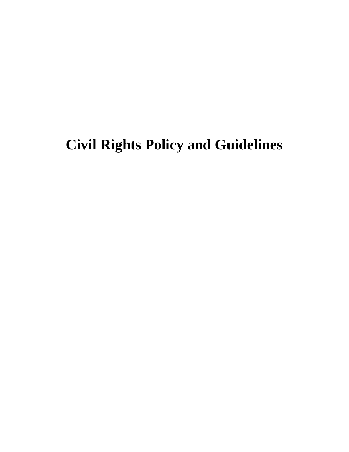## **Civil Rights Policy and Guidelines**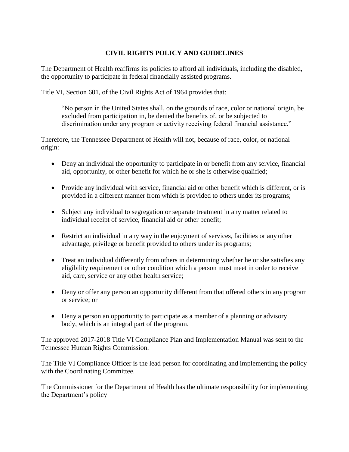## **CIVIL RIGHTS POLICY AND GUIDELINES**

The Department of Health reaffirms its policies to afford all individuals, including the disabled, the opportunity to participate in federal financially assisted programs.

Title VI, Section 601, of the Civil Rights Act of 1964 provides that:

"No person in the United States shall, on the grounds of race, color or national origin, be excluded from participation in, be denied the benefits of, or be subjected to discrimination under any program or activity receiving federal financial assistance."

Therefore, the Tennessee Department of Health will not, because of race, color, or national origin:

- Deny an individual the opportunity to participate in or benefit from any service, financial aid, opportunity, or other benefit for which he or she is otherwise qualified;
- Provide any individual with service, financial aid or other benefit which is different, or is provided in a different manner from which is provided to others under its programs;
- Subject any individual to segregation or separate treatment in any matter related to individual receipt of service, financial aid or other benefit;
- Restrict an individual in any way in the enjoyment of services, facilities or any other advantage, privilege or benefit provided to others under its programs;
- Treat an individual differently from others in determining whether he or she satisfies any eligibility requirement or other condition which a person must meet in order to receive aid, care, service or any other health service;
- Deny or offer any person an opportunity different from that offered others in any program or service; or
- Deny a person an opportunity to participate as a member of a planning or advisory body, which is an integral part of the program.

The approved 2017-2018 Title VI Compliance Plan and Implementation Manual was sent to the Tennessee Human Rights Commission.

The Title VI Compliance Officer is the lead person for coordinating and implementing the policy with the Coordinating Committee.

The Commissioner for the Department of Health has the ultimate responsibility for implementing the Department's policy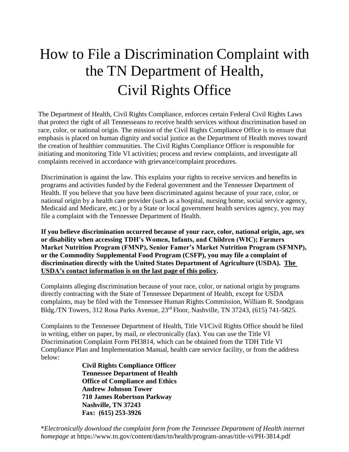## How to File a Discrimination Complaint with the TN Department of Health, Civil Rights Office

The Department of Health, Civil Rights Compliance, enforces certain Federal Civil Rights Laws that protect the right of all Tennesseans to receive health services without discrimination based on race, color, or national origin. The mission of the Civil Rights Compliance Office is to ensure that emphasis is placed on human dignity and social justice as the Department of Health moves toward the creation of healthier communities. The Civil Rights Compliance Officer is responsible for initiating and monitoring Title VI activities; process and review complaints, and investigate all complaints received in accordance with grievance/complaint procedures.

Discrimination is against the law. This explains your rights to receive services and benefits in programs and activities funded by the Federal government and the Tennessee Department of Health. If you believe that you have been discriminated against because of your race, color, or national origin by a health care provider (such as a hospital, nursing home, social service agency, Medicaid and Medicare, etc.) or by a State or local government health services agency, you may file a complaint with the Tennessee Department of Health.

**If you believe discrimination occurred because of your race, color, national origin, age, sex or disability when accessing TDH's Women, Infants, and Children (WIC); Farmers Market Nutrition Program (FMNP), Senior Famer's Market Nutrition Program (SFMNP), or the Commodity Supplemental Food Program (CSFP), you may file a complaint of discrimination directly with the United States Department of Agriculture (USDA). The USDA's contact information is on the last page of this policy.**

Complaints alleging discrimination because of your race, color, or national origin by programs directly contracting with the State of Tennessee Department of Health, except for USDA complaints, may be filed with the Tennessee Human Rights Commission, William R. Snodgrass Bldg./TN Towers, 312 Rosa Parks Avenue, 23rd Floor, Nashville, TN 37243, (615) 741-5825.

Complaints to the Tennessee Department of Health, Title VI/Civil Rights Office should be filed in writing, either on paper, by mail, or electronically (fax). You can use the Title VI Discrimination Complaint Form PH3814, which can be obtained from the TDH Title VI Compliance Plan and Implementation Manual, health care service facility, or from the address below:

**Civil Rights Compliance Officer Tennessee Department of Health Office of Compliance and Ethics Andrew Johnson Tower 710 James Robertson Parkway Nashville, TN 37243 Fax: (615) 253-3926**

\**Electronically download the complaint form from the Tennessee Department of Health internet homepage* at https://www.tn.gov/content/dam/tn/health/program-areas/title-vi/PH-3814.pdf